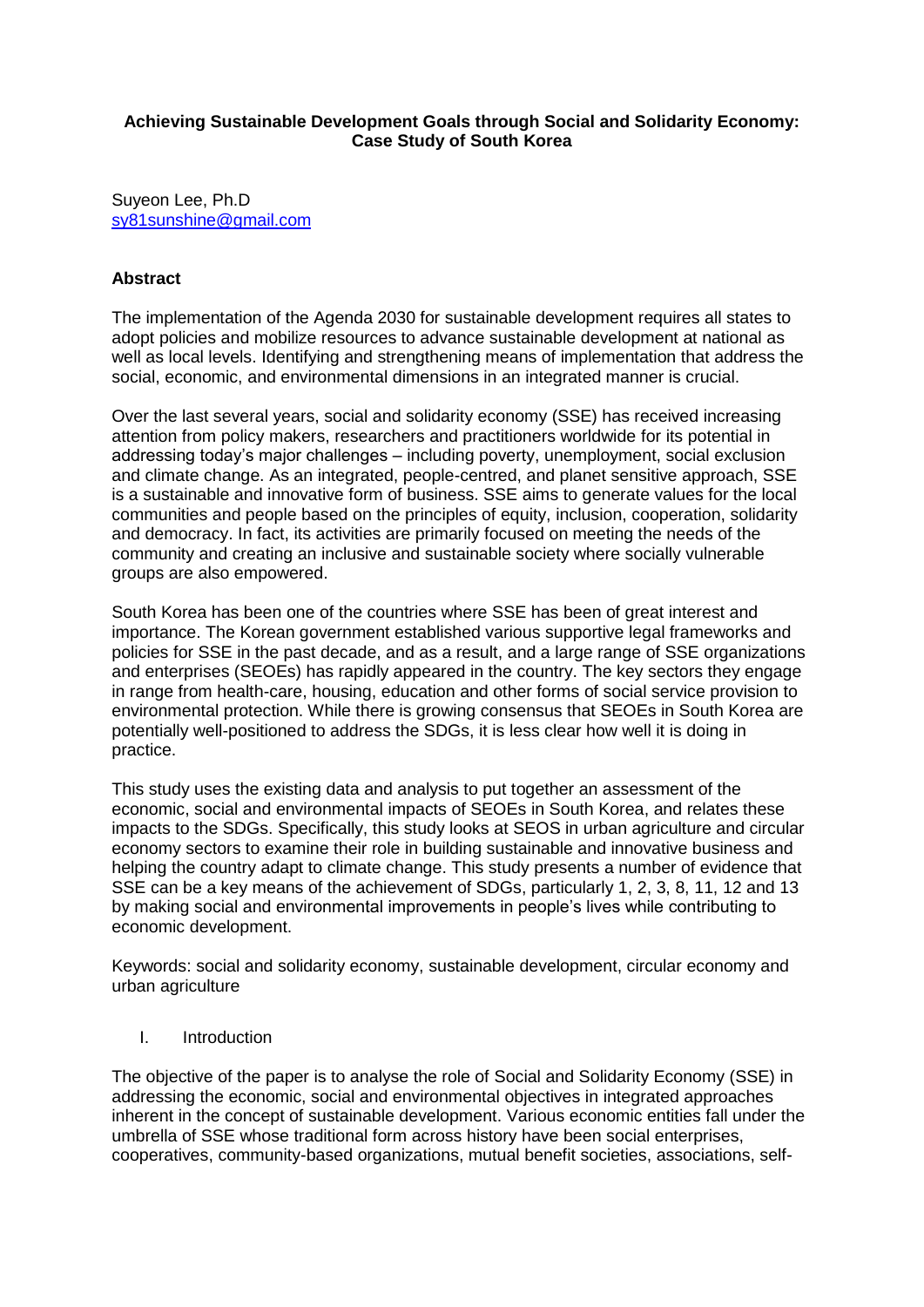#### **Achieving Sustainable Development Goals through Social and Solidarity Economy: Case Study of South Korea**

Suyeon Lee, Ph.D [sy81sunshine@gmail.com](mailto:sy81sunshine@gmail.com)

#### **Abstract**

The implementation of the Agenda 2030 for sustainable development requires all states to adopt policies and mobilize resources to advance sustainable development at national as well as local levels. Identifying and strengthening means of implementation that address the social, economic, and environmental dimensions in an integrated manner is crucial.

Over the last several years, social and solidarity economy (SSE) has received increasing attention from policy makers, researchers and practitioners worldwide for its potential in addressing today's major challenges – including poverty, unemployment, social exclusion and climate change. As an integrated, people-centred, and planet sensitive approach, SSE is a sustainable and innovative form of business. SSE aims to generate values for the local communities and people based on the principles of equity, inclusion, cooperation, solidarity and democracy. In fact, its activities are primarily focused on meeting the needs of the community and creating an inclusive and sustainable society where socially vulnerable groups are also empowered.

South Korea has been one of the countries where SSE has been of great interest and importance. The Korean government established various supportive legal frameworks and policies for SSE in the past decade, and as a result, and a large range of SSE organizations and enterprises (SEOEs) has rapidly appeared in the country. The key sectors they engage in range from health-care, housing, education and other forms of social service provision to environmental protection. While there is growing consensus that SEOEs in South Korea are potentially well-positioned to address the SDGs, it is less clear how well it is doing in practice.

This study uses the existing data and analysis to put together an assessment of the economic, social and environmental impacts of SEOEs in South Korea, and relates these impacts to the SDGs. Specifically, this study looks at SEOS in urban agriculture and circular economy sectors to examine their role in building sustainable and innovative business and helping the country adapt to climate change. This study presents a number of evidence that SSE can be a key means of the achievement of SDGs, particularly 1, 2, 3, 8, 11, 12 and 13 by making social and environmental improvements in people's lives while contributing to economic development.

Keywords: social and solidarity economy, sustainable development, circular economy and urban agriculture

I. Introduction

The objective of the paper is to analyse the role of Social and Solidarity Economy (SSE) in addressing the economic, social and environmental objectives in integrated approaches inherent in the concept of sustainable development. Various economic entities fall under the umbrella of SSE whose traditional form across history have been social enterprises, cooperatives, community-based organizations, mutual benefit societies, associations, self-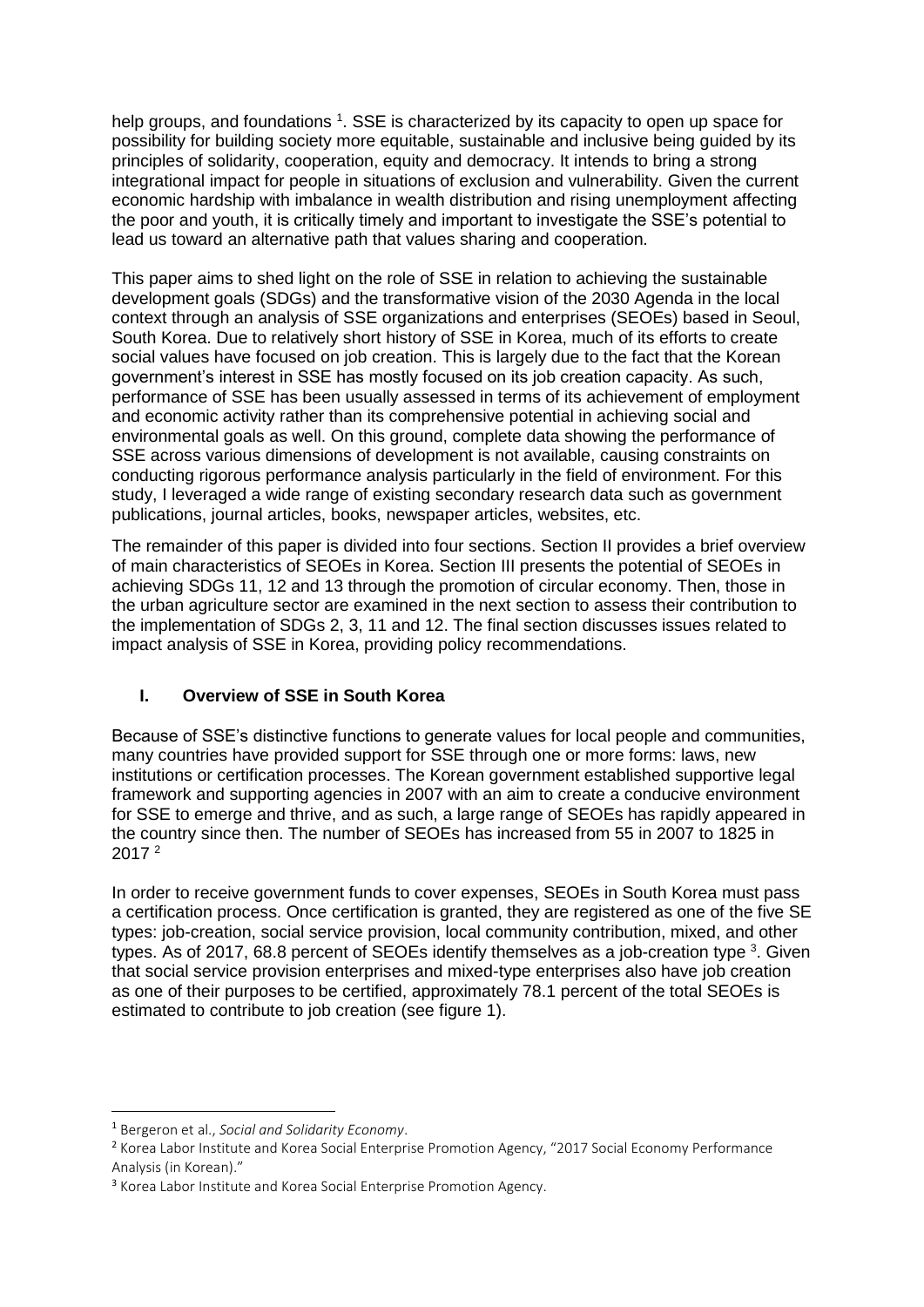help groups, and foundations <sup>1</sup>. SSE is characterized by its capacity to open up space for possibility for building society more equitable, sustainable and inclusive being guided by its principles of solidarity, cooperation, equity and democracy. It intends to bring a strong integrational impact for people in situations of exclusion and vulnerability. Given the current economic hardship with imbalance in wealth distribution and rising unemployment affecting the poor and youth, it is critically timely and important to investigate the SSE's potential to lead us toward an alternative path that values sharing and cooperation.

This paper aims to shed light on the role of SSE in relation to achieving the sustainable development goals (SDGs) and the transformative vision of the 2030 Agenda in the local context through an analysis of SSE organizations and enterprises (SEOEs) based in Seoul, South Korea. Due to relatively short history of SSE in Korea, much of its efforts to create social values have focused on job creation. This is largely due to the fact that the Korean government's interest in SSE has mostly focused on its job creation capacity. As such, performance of SSE has been usually assessed in terms of its achievement of employment and economic activity rather than its comprehensive potential in achieving social and environmental goals as well. On this ground, complete data showing the performance of SSE across various dimensions of development is not available, causing constraints on conducting rigorous performance analysis particularly in the field of environment. For this study, I leveraged a wide range of existing secondary research data such as government publications, journal articles, books, newspaper articles, websites, etc.

The remainder of this paper is divided into four sections. Section II provides a brief overview of main characteristics of SEOEs in Korea. Section III presents the potential of SEOEs in achieving SDGs 11, 12 and 13 through the promotion of circular economy. Then, those in the urban agriculture sector are examined in the next section to assess their contribution to the implementation of SDGs 2, 3, 11 and 12. The final section discusses issues related to impact analysis of SSE in Korea, providing policy recommendations.

# **I. Overview of SSE in South Korea**

Because of SSE's distinctive functions to generate values for local people and communities, many countries have provided support for SSE through one or more forms: laws, new institutions or certification processes. The Korean government established supportive legal framework and supporting agencies in 2007 with an aim to create a conducive environment for SSE to emerge and thrive, and as such, a large range of SEOEs has rapidly appeared in the country since then. The number of SEOEs has increased from 55 in 2007 to 1825 in 2017 <sup>2</sup>

In order to receive government funds to cover expenses, SEOEs in South Korea must pass a certification process. Once certification is granted, they are registered as one of the five SE types: job-creation, social service provision, local community contribution, mixed, and other types. As of 2017, 68.8 percent of SEOEs identify themselves as a job-creation type  $3$ . Given that social service provision enterprises and mixed-type enterprises also have job creation as one of their purposes to be certified, approximately 78.1 percent of the total SEOEs is estimated to contribute to job creation (see figure 1).

1

<sup>1</sup> Bergeron et al., *Social and Solidarity Economy*.

<sup>2</sup> Korea Labor Institute and Korea Social Enterprise Promotion Agency, "2017 Social Economy Performance Analysis (in Korean)."

<sup>&</sup>lt;sup>3</sup> Korea Labor Institute and Korea Social Enterprise Promotion Agency.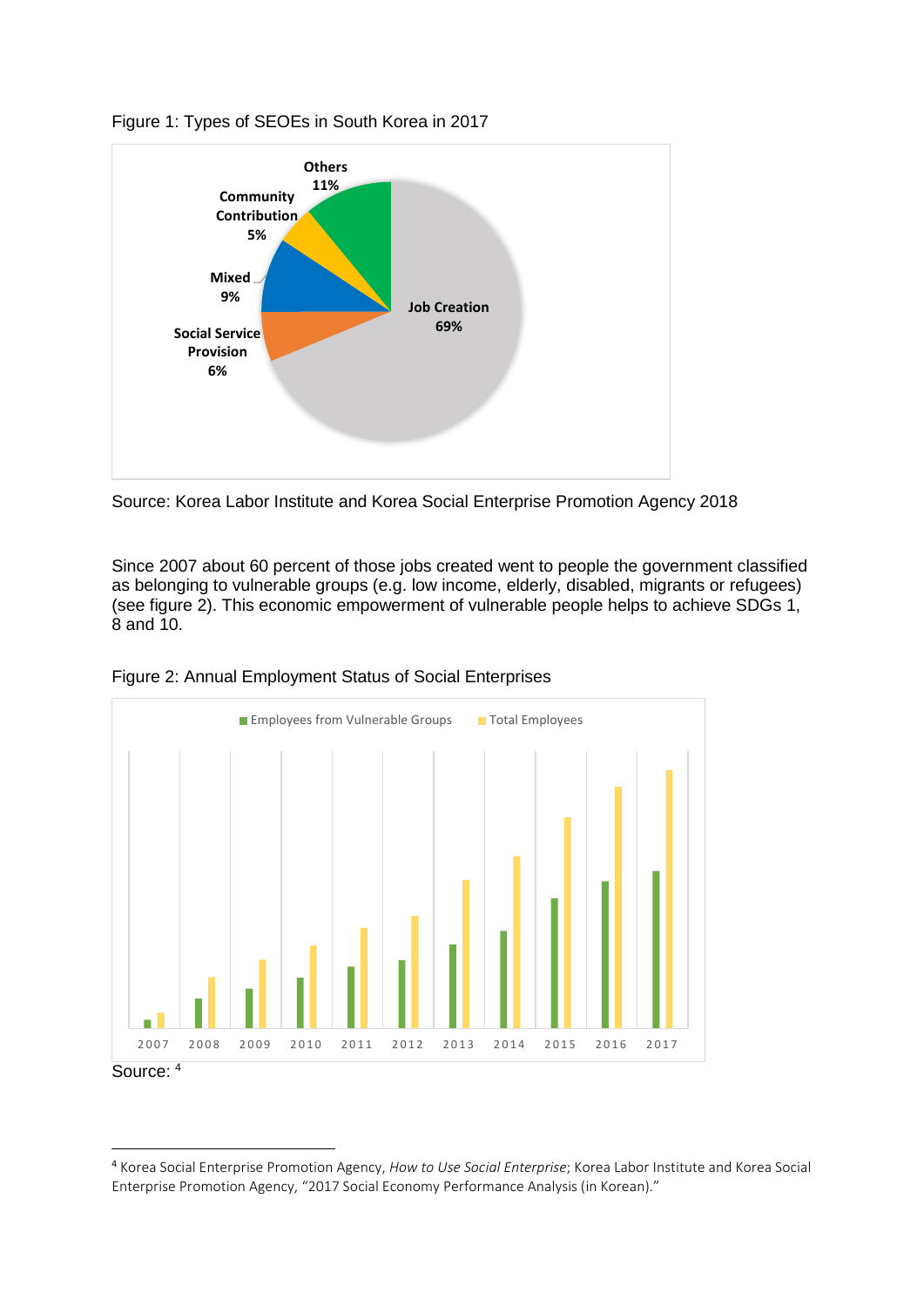

# Figure 1: Types of SEOEs in South Korea in 2017

Source: Korea Labor Institute and Korea Social Enterprise Promotion Agency 2018

Since 2007 about 60 percent of those jobs created went to people the government classified as belonging to vulnerable groups (e.g. low income, elderly, disabled, migrants or refugees) (see figure 2). This economic empowerment of vulnerable people helps to achieve SDGs 1, 8 and 10.





 $\overline{a}$ 

<sup>4</sup> Korea Social Enterprise Promotion Agency, *How to Use Social Enterprise*; Korea Labor Institute and Korea Social Enterprise Promotion Agency, "2017 Social Economy Performance Analysis (in Korean)."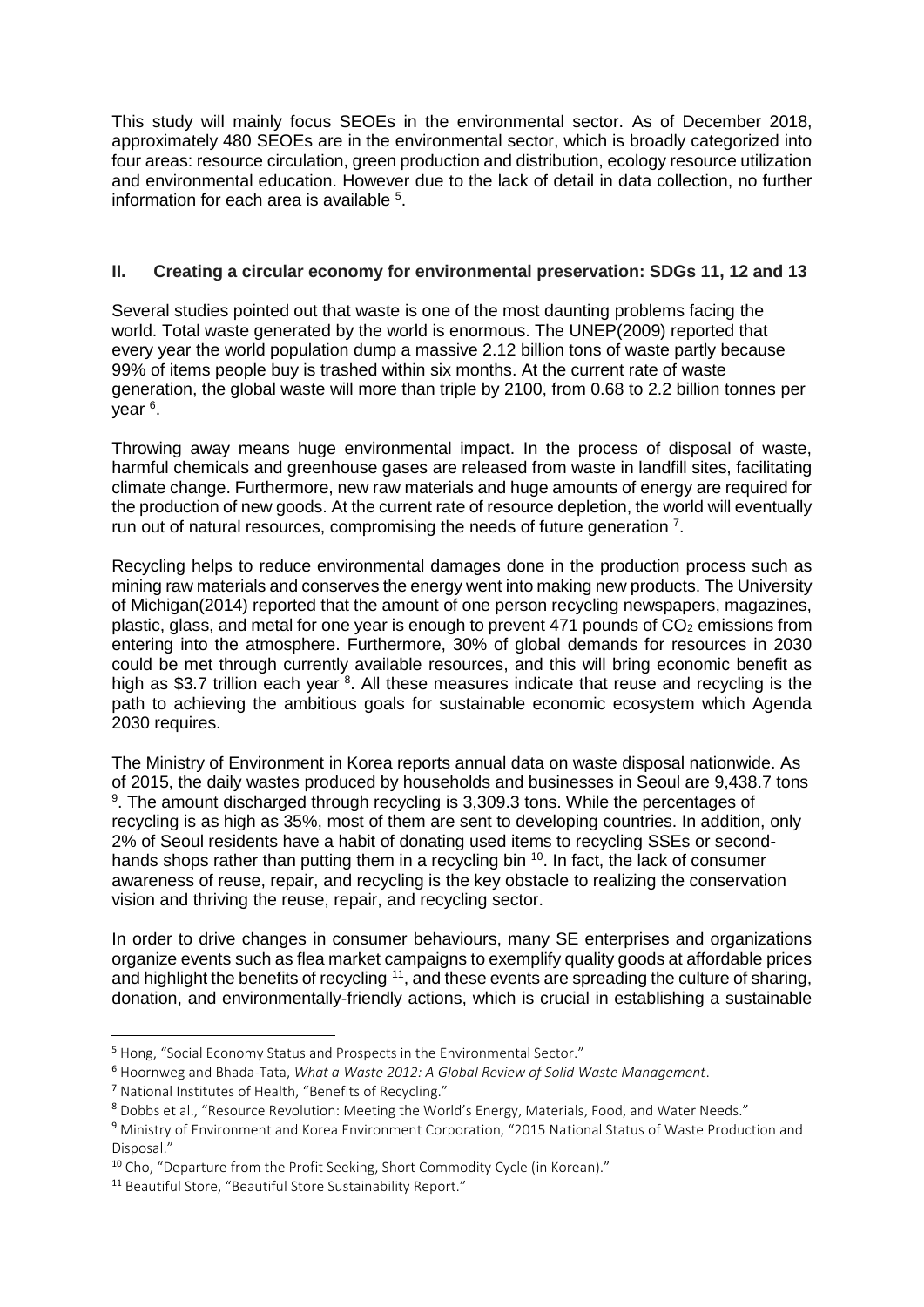This study will mainly focus SEOEs in the environmental sector. As of December 2018, approximately 480 SEOEs are in the environmental sector, which is broadly categorized into four areas: resource circulation, green production and distribution, ecology resource utilization and environmental education. However due to the lack of detail in data collection, no further information for each area is available <sup>5</sup> .

# **II. Creating a circular economy for environmental preservation: SDGs 11, 12 and 13**

Several studies pointed out that waste is one of the most daunting problems facing the world. Total waste generated by the world is enormous. The UNEP(2009) reported that every year the world population dump a massive 2.12 billion tons of waste partly because 99% of items people buy is trashed within six months. At the current rate of waste generation, the global waste will more than triple by 2100, from 0.68 to 2.2 billion tonnes per year <sup>6</sup>.

Throwing away means huge environmental impact. In the process of disposal of waste, harmful chemicals and greenhouse gases are released from waste in landfill sites, facilitating climate change. Furthermore, new raw materials and huge amounts of energy are required for the production of new goods. At the current rate of resource depletion, the world will eventually run out of natural resources, compromising the needs of future generation  $7$ .

Recycling helps to reduce environmental damages done in the production process such as mining raw materials and conserves the energy went into making new products. The University of Michigan(2014) reported that the amount of one person recycling newspapers, magazines, plastic, glass, and metal for one year is enough to prevent 471 pounds of  $CO<sub>2</sub>$  emissions from entering into the atmosphere. Furthermore, 30% of global demands for resources in 2030 could be met through currently available resources, and this will bring economic benefit as high as \$3.7 trillion each year <sup>8</sup>. All these measures indicate that reuse and recycling is the path to achieving the ambitious goals for sustainable economic ecosystem which Agenda 2030 requires.

The Ministry of Environment in Korea reports annual data on waste disposal nationwide. As of 2015, the daily wastes produced by households and businesses in Seoul are 9,438.7 tons <sup>9</sup>. The amount discharged through recycling is 3,309.3 tons. While the percentages of recycling is as high as 35%, most of them are sent to developing countries. In addition, only 2% of Seoul residents have a habit of donating used items to recycling SSEs or secondhands shops rather than putting them in a recycling bin <sup>10</sup>. In fact, the lack of consumer awareness of reuse, repair, and recycling is the key obstacle to realizing the conservation vision and thriving the reuse, repair, and recycling sector.

In order to drive changes in consumer behaviours, many SE enterprises and organizations organize events such as flea market campaigns to exemplify quality goods at affordable prices and highlight the benefits of recycling  $11$ , and these events are spreading the culture of sharing, donation, and environmentally-friendly actions, which is crucial in establishing a sustainable

1

<sup>5</sup> Hong, "Social Economy Status and Prospects in the Environmental Sector."

<sup>6</sup> Hoornweg and Bhada-Tata, *What a Waste 2012: A Global Review of Solid Waste Management*.

<sup>7</sup> National Institutes of Health, "Benefits of Recycling."

<sup>8</sup> Dobbs et al., "Resource Revolution: Meeting the World's Energy, Materials, Food, and Water Needs."

<sup>&</sup>lt;sup>9</sup> Ministry of Environment and Korea Environment Corporation, "2015 National Status of Waste Production and Disposal."

<sup>10</sup> Cho, "Departure from the Profit Seeking, Short Commodity Cycle (in Korean)."

<sup>11</sup> Beautiful Store, "Beautiful Store Sustainability Report."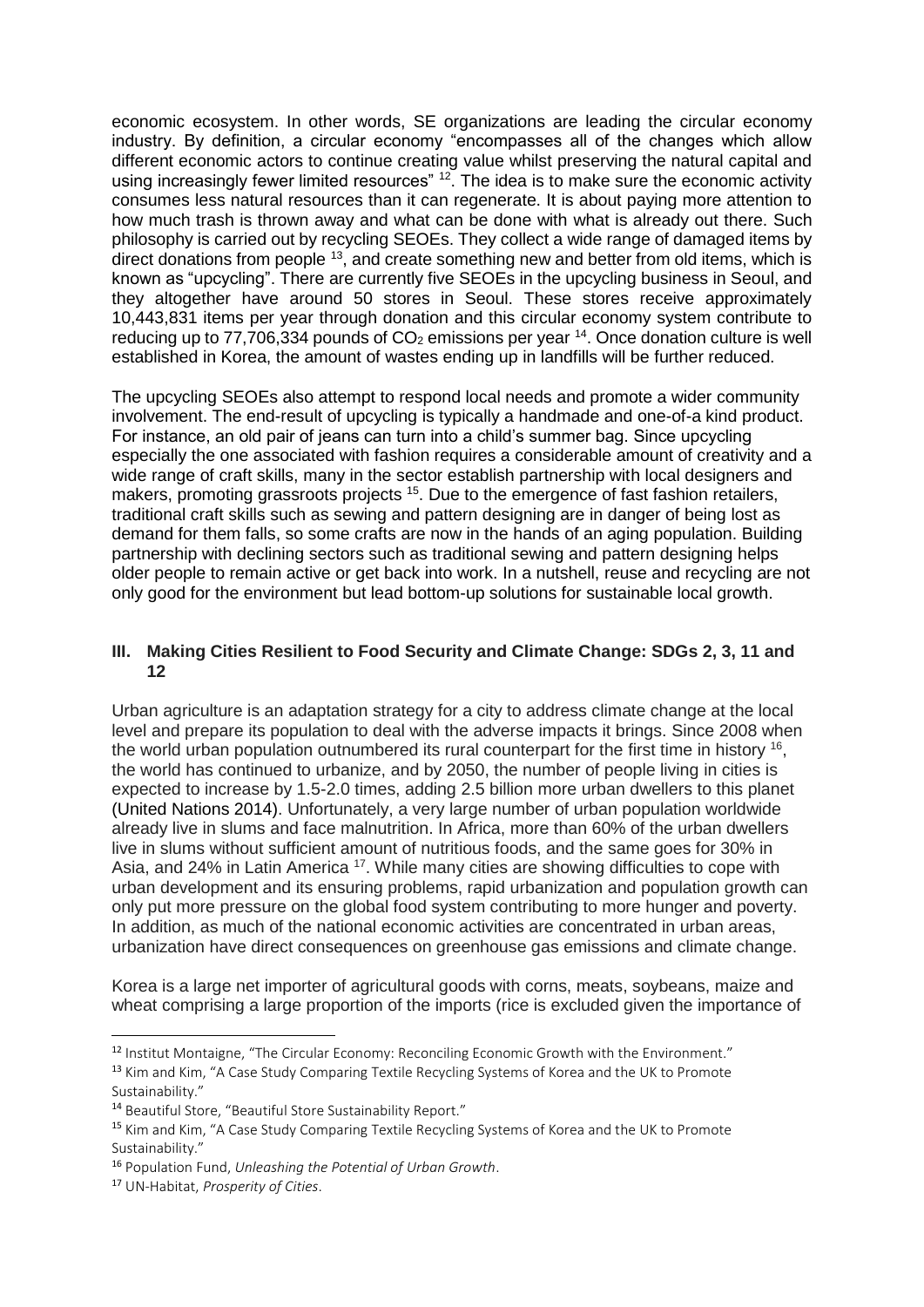economic ecosystem. In other words, SE organizations are leading the circular economy industry. By definition, a circular economy "encompasses all of the changes which allow different economic actors to continue creating value whilst preserving the natural capital and using increasingly fewer limited resources" <sup>12</sup>. The idea is to make sure the economic activity consumes less natural resources than it can regenerate. It is about paying more attention to how much trash is thrown away and what can be done with what is already out there. Such philosophy is carried out by recycling SEOEs. They collect a wide range of damaged items by direct donations from people <sup>13</sup>, and create something new and better from old items, which is known as "upcycling". There are currently five SEOEs in the upcycling business in Seoul, and they altogether have around 50 stores in Seoul. These stores receive approximately 10,443,831 items per year through donation and this circular economy system contribute to reducing up to 77,706,334 pounds of  $CO<sub>2</sub>$  emissions per year <sup>14</sup>. Once donation culture is well established in Korea, the amount of wastes ending up in landfills will be further reduced.

The upcycling SEOEs also attempt to respond local needs and promote a wider community involvement. The end-result of upcycling is typically a handmade and one-of-a kind product. For instance, an old pair of jeans can turn into a child's summer bag. Since upcycling especially the one associated with fashion requires a considerable amount of creativity and a wide range of craft skills, many in the sector establish partnership with local designers and makers, promoting grassroots projects <sup>15</sup>. Due to the emergence of fast fashion retailers, traditional craft skills such as sewing and pattern designing are in danger of being lost as demand for them falls, so some crafts are now in the hands of an aging population. Building partnership with declining sectors such as traditional sewing and pattern designing helps older people to remain active or get back into work. In a nutshell, reuse and recycling are not only good for the environment but lead bottom-up solutions for sustainable local growth.

## **III. Making Cities Resilient to Food Security and Climate Change: SDGs 2, 3, 11 and 12**

Urban agriculture is an adaptation strategy for a city to address climate change at the local level and prepare its population to deal with the adverse impacts it brings. Since 2008 when the world urban population outnumbered its rural counterpart for the first time in history <sup>16</sup>, the world has continued to urbanize, and by 2050, the number of people living in cities is expected to increase by 1.5-2.0 times, adding 2.5 billion more urban dwellers to this planet (United Nations 2014). Unfortunately, a very large number of urban population worldwide already live in slums and face malnutrition. In Africa, more than 60% of the urban dwellers live in slums without sufficient amount of nutritious foods, and the same goes for 30% in Asia, and 24% in Latin America <sup>17</sup>. While many cities are showing difficulties to cope with urban development and its ensuring problems, rapid urbanization and population growth can only put more pressure on the global food system contributing to more hunger and poverty. In addition, as much of the national economic activities are concentrated in urban areas, urbanization have direct consequences on greenhouse gas emissions and climate change.

Korea is a large net importer of agricultural goods with corns, meats, soybeans, maize and wheat comprising a large proportion of the imports (rice is excluded given the importance of

<sup>13</sup> Kim and Kim, "A Case Study Comparing Textile Recycling Systems of Korea and the UK to Promote Sustainability."

1

<sup>&</sup>lt;sup>12</sup> Institut Montaigne, "The Circular Economy: Reconciling Economic Growth with the Environment."

<sup>14</sup> Beautiful Store, "Beautiful Store Sustainability Report."

<sup>&</sup>lt;sup>15</sup> Kim and Kim, "A Case Study Comparing Textile Recycling Systems of Korea and the UK to Promote Sustainability."

<sup>16</sup> Population Fund, *Unleashing the Potential of Urban Growth*.

<sup>17</sup> UN-Habitat, *Prosperity of Cities*.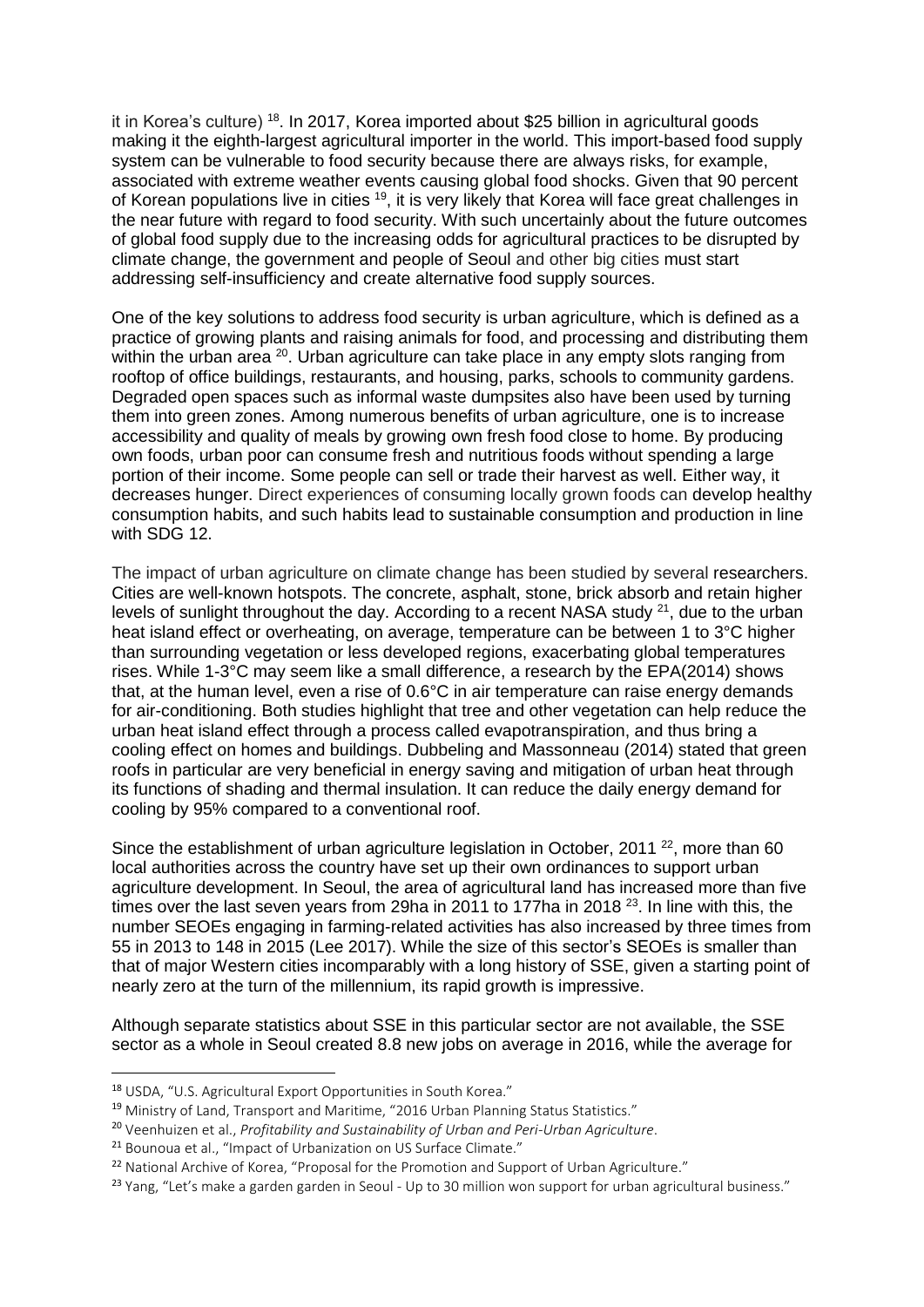it in Korea's culture)<sup>18</sup>. In 2017, Korea imported about \$25 billion in agricultural goods making it the eighth-largest agricultural importer in the world. This import-based food supply system can be vulnerable to food security because there are always risks, for example, associated with extreme weather events causing global food shocks. Given that 90 percent of Korean populations live in cities <sup>19</sup>, it is very likely that Korea will face great challenges in the near future with regard to food security. With such uncertainly about the future outcomes of global food supply due to the increasing odds for agricultural practices to be disrupted by climate change, the government and people of Seoul and other big cities must start addressing self-insufficiency and create alternative food supply sources.

One of the key solutions to address food security is urban agriculture, which is defined as a practice of growing plants and raising animals for food, and processing and distributing them within the urban area  $20$ . Urban agriculture can take place in any empty slots ranging from rooftop of office buildings, restaurants, and housing, parks, schools to community gardens. Degraded open spaces such as informal waste dumpsites also have been used by turning them into green zones. Among numerous benefits of urban agriculture, one is to increase accessibility and quality of meals by growing own fresh food close to home. By producing own foods, urban poor can consume fresh and nutritious foods without spending a large portion of their income. Some people can sell or trade their harvest as well. Either way, it decreases hunger. Direct experiences of consuming locally grown foods can develop healthy consumption habits, and such habits lead to sustainable consumption and production in line with SDG 12.

The impact of urban agriculture on climate change has been studied by several researchers. Cities are well-known hotspots. The concrete, asphalt, stone, brick absorb and retain higher levels of sunlight throughout the day. According to a recent NASA study  $21$ , due to the urban heat island effect or overheating, on average, temperature can be between 1 to 3°C higher than surrounding vegetation or less developed regions, exacerbating global temperatures rises. While 1-3°C may seem like a small difference, a research by the EPA(2014) shows that, at the human level, even a rise of 0.6°C in air temperature can raise energy demands for air-conditioning. Both studies highlight that tree and other vegetation can help reduce the urban heat island effect through a process called evapotranspiration, and thus bring a cooling effect on homes and buildings. Dubbeling and Massonneau (2014) stated that green roofs in particular are very beneficial in energy saving and mitigation of urban heat through its functions of shading and thermal insulation. It can reduce the daily energy demand for cooling by 95% compared to a conventional roof.

Since the establishment of urban agriculture legislation in October, 2011<sup>22</sup>, more than 60 local authorities across the country have set up their own ordinances to support urban agriculture development. In Seoul, the area of agricultural land has increased more than five times over the last seven years from 29ha in 2011 to 177ha in 2018 $^{23}$ . In line with this, the number SEOEs engaging in farming-related activities has also increased by three times from 55 in 2013 to 148 in 2015 (Lee 2017). While the size of this sector's SEOEs is smaller than that of major Western cities incomparably with a long history of SSE, given a starting point of nearly zero at the turn of the millennium, its rapid growth is impressive.

Although separate statistics about SSE in this particular sector are not available, the SSE sector as a whole in Seoul created 8.8 new jobs on average in 2016, while the average for

**.** 

<sup>18</sup> USDA, "U.S. Agricultural Export Opportunities in South Korea."

<sup>&</sup>lt;sup>19</sup> Ministry of Land, Transport and Maritime, "2016 Urban Planning Status Statistics."

<sup>20</sup> Veenhuizen et al., *Profitability and Sustainability of Urban and Peri-Urban Agriculture*.

<sup>&</sup>lt;sup>21</sup> Bounoua et al., "Impact of Urbanization on US Surface Climate."

<sup>&</sup>lt;sup>22</sup> National Archive of Korea, "Proposal for the Promotion and Support of Urban Agriculture."

<sup>&</sup>lt;sup>23</sup> Yang, "Let's make a garden garden in Seoul - Up to 30 million won support for urban agricultural business."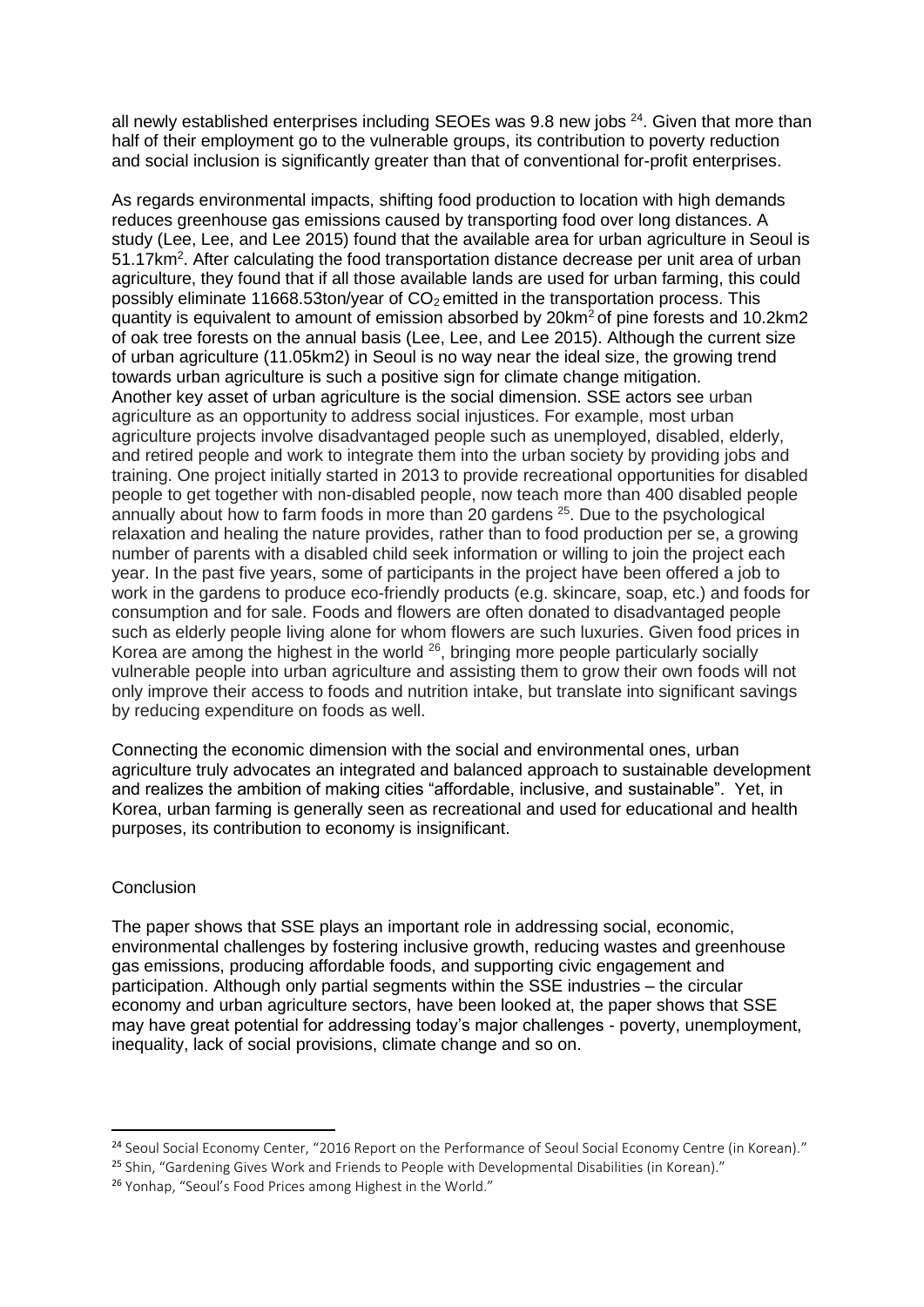all newly established enterprises including SEOEs was 9.8 new jobs  $24$ . Given that more than half of their employment go to the vulnerable groups, its contribution to poverty reduction and social inclusion is significantly greater than that of conventional for-profit enterprises.

As regards environmental impacts, shifting food production to location with high demands reduces greenhouse gas emissions caused by transporting food over long distances. A study (Lee, Lee, and Lee 2015) found that the available area for urban agriculture in Seoul is 51.17km<sup>2</sup>. After calculating the food transportation distance decrease per unit area of urban agriculture, they found that if all those available lands are used for urban farming, this could possibly eliminate 11668.53ton/year of  $CO<sub>2</sub>$  emitted in the transportation process. This quantity is equivalent to amount of emission absorbed by 20 km<sup>2</sup> of pine forests and 10.2 km2 of oak tree forests on the annual basis (Lee, Lee, and Lee 2015). Although the current size of urban agriculture (11.05km2) in Seoul is no way near the ideal size, the growing trend towards urban agriculture is such a positive sign for climate change mitigation. Another key asset of urban agriculture is the social dimension. SSE actors see urban agriculture as an opportunity to address social injustices. For example, most urban agriculture projects involve disadvantaged people such as unemployed, disabled, elderly, and retired people and work to integrate them into the urban society by providing jobs and training. One project initially started in 2013 to provide recreational opportunities for disabled people to get together with non-disabled people, now teach more than 400 disabled people annually about how to farm foods in more than 20 gardens <sup>25</sup>. Due to the psychological relaxation and healing the nature provides, rather than to food production per se, a growing number of parents with a disabled child seek information or willing to join the project each year. In the past five years, some of participants in the project have been offered a job to work in the gardens to produce eco-friendly products (e.g. skincare, soap, etc.) and foods for consumption and for sale. Foods and flowers are often donated to disadvantaged people such as elderly people living alone for whom flowers are such luxuries. Given food prices in Korea are among the highest in the world <sup>26</sup>, bringing more people particularly socially vulnerable people into urban agriculture and assisting them to grow their own foods will not only improve their access to foods and nutrition intake, but translate into significant savings by reducing expenditure on foods as well.

Connecting the economic dimension with the social and environmental ones, urban agriculture truly advocates an integrated and balanced approach to sustainable development and realizes the ambition of making cities "affordable, inclusive, and sustainable". Yet, in Korea, urban farming is generally seen as recreational and used for educational and health purposes, its contribution to economy is insignificant.

## **Conclusion**

**.** 

The paper shows that SSE plays an important role in addressing social, economic, environmental challenges by fostering inclusive growth, reducing wastes and greenhouse gas emissions, producing affordable foods, and supporting civic engagement and participation. Although only partial segments within the SSE industries – the circular economy and urban agriculture sectors, have been looked at, the paper shows that SSE may have great potential for addressing today's major challenges - poverty, unemployment, inequality, lack of social provisions, climate change and so on.

<sup>&</sup>lt;sup>24</sup> Seoul Social Economy Center, "2016 Report on the Performance of Seoul Social Economy Centre (in Korean)."

<sup>&</sup>lt;sup>25</sup> Shin, "Gardening Gives Work and Friends to People with Developmental Disabilities (in Korean)."

<sup>26</sup> Yonhap, "Seoul's Food Prices among Highest in the World."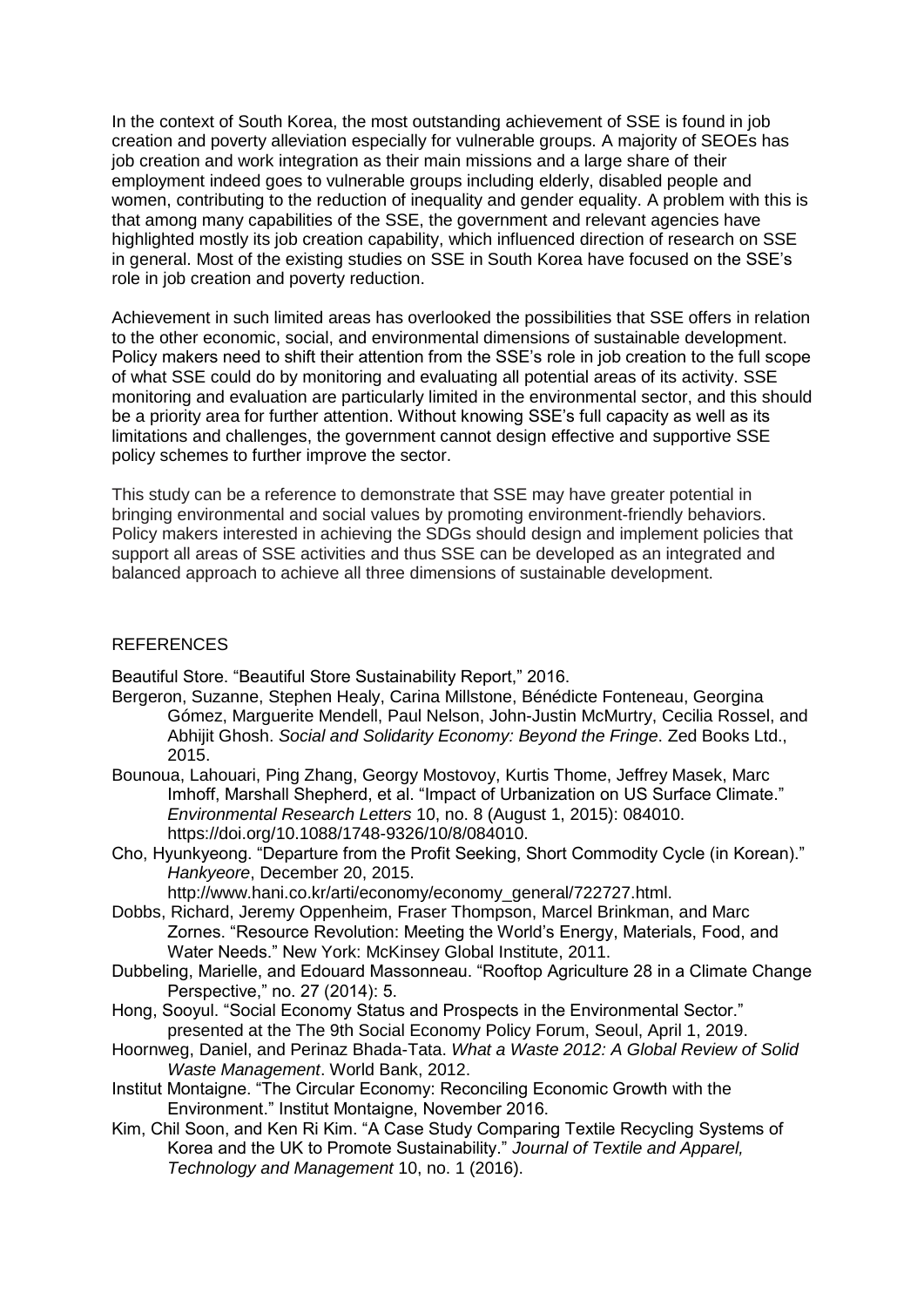In the context of South Korea, the most outstanding achievement of SSE is found in job creation and poverty alleviation especially for vulnerable groups. A majority of SEOEs has job creation and work integration as their main missions and a large share of their employment indeed goes to vulnerable groups including elderly, disabled people and women, contributing to the reduction of inequality and gender equality. A problem with this is that among many capabilities of the SSE, the government and relevant agencies have highlighted mostly its job creation capability, which influenced direction of research on SSE in general. Most of the existing studies on SSE in South Korea have focused on the SSE's role in job creation and poverty reduction.

Achievement in such limited areas has overlooked the possibilities that SSE offers in relation to the other economic, social, and environmental dimensions of sustainable development. Policy makers need to shift their attention from the SSE's role in job creation to the full scope of what SSE could do by monitoring and evaluating all potential areas of its activity. SSE monitoring and evaluation are particularly limited in the environmental sector, and this should be a priority area for further attention. Without knowing SSE's full capacity as well as its limitations and challenges, the government cannot design effective and supportive SSE policy schemes to further improve the sector.

This study can be a reference to demonstrate that SSE may have greater potential in bringing environmental and social values by promoting environment-friendly behaviors. Policy makers interested in achieving the SDGs should design and implement policies that support all areas of SSE activities and thus SSE can be developed as an integrated and balanced approach to achieve all three dimensions of sustainable development.

## REFERENCES

Beautiful Store. "Beautiful Store Sustainability Report," 2016.

- Bergeron, Suzanne, Stephen Healy, Carina Millstone, Bénédicte Fonteneau, Georgina Gómez, Marguerite Mendell, Paul Nelson, John-Justin McMurtry, Cecilia Rossel, and Abhijit Ghosh. *Social and Solidarity Economy: Beyond the Fringe*. Zed Books Ltd., 2015.
- Bounoua, Lahouari, Ping Zhang, Georgy Mostovoy, Kurtis Thome, Jeffrey Masek, Marc Imhoff, Marshall Shepherd, et al. "Impact of Urbanization on US Surface Climate." *Environmental Research Letters* 10, no. 8 (August 1, 2015): 084010. https://doi.org/10.1088/1748-9326/10/8/084010.
- Cho, Hyunkyeong. "Departure from the Profit Seeking, Short Commodity Cycle (in Korean)." *Hankyeore*, December 20, 2015.
	- http://www.hani.co.kr/arti/economy/economy\_general/722727.html.
- Dobbs, Richard, Jeremy Oppenheim, Fraser Thompson, Marcel Brinkman, and Marc Zornes. "Resource Revolution: Meeting the World's Energy, Materials, Food, and Water Needs." New York: McKinsey Global Institute, 2011.
- Dubbeling, Marielle, and Edouard Massonneau. "Rooftop Agriculture 28 in a Climate Change Perspective," no. 27 (2014): 5.
- Hong, Sooyul. "Social Economy Status and Prospects in the Environmental Sector." presented at the The 9th Social Economy Policy Forum, Seoul, April 1, 2019.
- Hoornweg, Daniel, and Perinaz Bhada-Tata. *What a Waste 2012: A Global Review of Solid Waste Management*. World Bank, 2012.
- Institut Montaigne. "The Circular Economy: Reconciling Economic Growth with the Environment." Institut Montaigne, November 2016.
- Kim, Chil Soon, and Ken Ri Kim. "A Case Study Comparing Textile Recycling Systems of Korea and the UK to Promote Sustainability." *Journal of Textile and Apparel, Technology and Management* 10, no. 1 (2016).